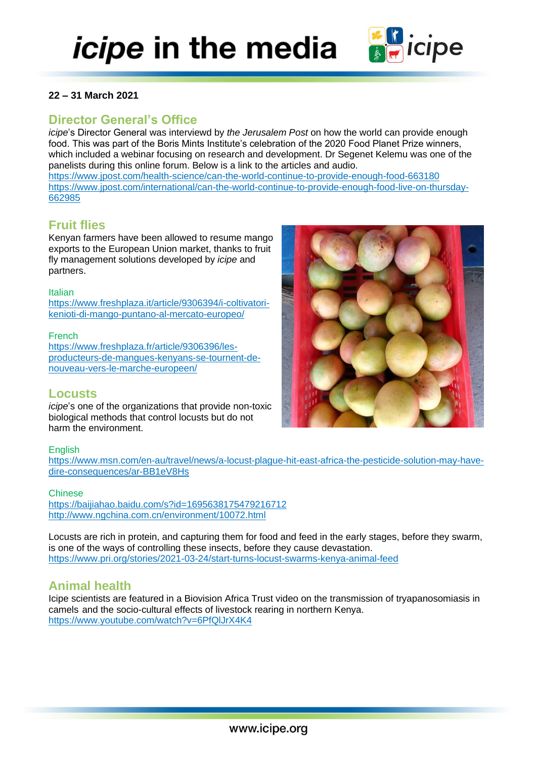

### **22 – 31 March 2021**

# **Director General's Office**

*icipe*'s Director General was interviewd by *the Jerusalem Post* on how the world can provide enough food. This was part of the Boris Mints Institute's celebration of the 2020 Food Planet Prize winners, which included a webinar focusing on research and development. Dr Segenet Kelemu was one of the panelists during this online forum. Below is a link to the articles and audio.

<https://www.jpost.com/health-science/can-the-world-continue-to-provide-enough-food-663180> [https://www.jpost.com/international/can-the-world-continue-to-provide-enough-food-live-on-thursday-](https://www.jpost.com/international/can-the-world-continue-to-provide-enough-food-live-on-thursday-662985)[662985](https://www.jpost.com/international/can-the-world-continue-to-provide-enough-food-live-on-thursday-662985)

# **Fruit flies**

Kenyan farmers have been allowed to resume mango exports to the European Union market, thanks to fruit fly management solutions developed by *icipe* and partners.

#### Italian

[https://www.freshplaza.it/article/9306394/i-coltivatori](https://www.freshplaza.it/article/9306394/i-coltivatori-kenioti-di-mango-puntano-al-mercato-europeo/)[kenioti-di-mango-puntano-al-mercato-europeo/](https://www.freshplaza.it/article/9306394/i-coltivatori-kenioti-di-mango-puntano-al-mercato-europeo/)

### French

[https://www.freshplaza.fr/article/9306396/les](https://www.freshplaza.fr/article/9306396/les-producteurs-de-mangues-kenyans-se-tournent-de-nouveau-vers-le-marche-europeen/)[producteurs-de-mangues-kenyans-se-tournent-de](https://www.freshplaza.fr/article/9306396/les-producteurs-de-mangues-kenyans-se-tournent-de-nouveau-vers-le-marche-europeen/)[nouveau-vers-le-marche-europeen/](https://www.freshplaza.fr/article/9306396/les-producteurs-de-mangues-kenyans-se-tournent-de-nouveau-vers-le-marche-europeen/)

### **Locusts**

*icipe*'s one of the organizations that provide non-toxic biological methods that control locusts but do not harm the environment.

### **English**

[https://www.msn.com/en-au/travel/news/a-locust-plague-hit-east-africa-the-pesticide-solution-may-have](https://www.msn.com/en-au/travel/news/a-locust-plague-hit-east-africa-the-pesticide-solution-may-have-dire-consequences/ar-BB1eV8Hs)[dire-consequences/ar-BB1eV8Hs](https://www.msn.com/en-au/travel/news/a-locust-plague-hit-east-africa-the-pesticide-solution-may-have-dire-consequences/ar-BB1eV8Hs)

### Chinese

<https://baijiahao.baidu.com/s?id=1695638175479216712> <http://www.ngchina.com.cn/environment/10072.html>

Locusts are rich in protein, and capturing them for food and feed in the early stages, before they swarm, is one of the ways of controlling these insects, before they cause devastation. <https://www.pri.org/stories/2021-03-24/start-turns-locust-swarms-kenya-animal-feed>

## **Animal health**

Icipe scientists are featured in a Biovision Africa Trust video on the transmission of tryapanosomiasis in camels and the socio-cultural effects of livestock rearing in northern Kenya. <https://www.youtube.com/watch?v=6PfQlJrX4K4>